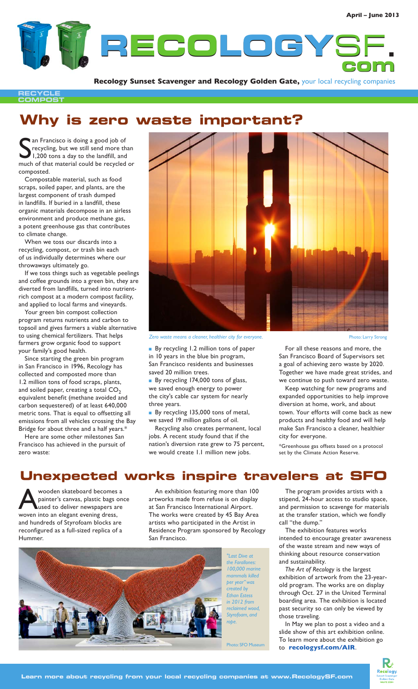

**Recology Sunset Scavenger and Recology Golden Gate,** your local recycling companies

**RECYCLE COMPOST**

# **Why is zero waste important?**

San Francisco is doing a good job of<br>Secycling, but we still send more than<br>1,200 tons a day to the landfill, and<br>much of that material could be recycled or an Francisco is doing a good job of recycling, but we still send more than 1,200 tons a day to the landfill, and composted.

Compostable material, such as food scraps, soiled paper, and plants, are the largest component of trash dumped in landfills. If buried in a landfill, these organic materials decompose in an airless environment and produce methane gas, a potent greenhouse gas that contributes to climate change.

When we toss our discards into a recycling, compost, or trash bin each of us individually determines where our throwaways ultimately go.

If we toss things such as vegetable peelings and coffee grounds into a green bin, they are diverted from landfills, turned into nutrientrich compost at a modern compost facility, and applied to local farms and vineyards.

Your green bin compost collection program returns nutrients and carbon to topsoil and gives farmers a viable alternative to using chemical fertilizers. That helps farmers grow organic food to support your family's good health.

Since starting the green bin program in San Francisco in 1996, Recology has collected and composted more than 1.2 million tons of food scraps, plants, and soiled paper, creating a total  $CO<sub>2</sub>$ equivalent benefit (methane avoided and carbon sequestered) of at least 640,000 metric tons. That is equal to offsetting all emissions from all vehicles crossing the Bay Bridge for about three and a half years.\*

Here are some other milestones San Francisco has achieved in the pursuit of zero waste:



Zero waste means a cleaner, healthier city for everyone. **Photo: Larry Strong** Photo: Larry Strong

**By recycling 1.2 million tons of paper** in 10 years in the blue bin program, San Francisco residents and businesses saved 20 million trees.

By recycling 174,000 tons of glass, we saved enough energy to power the city's cable car system for nearly three years.

By recycling 135,000 tons of metal, we saved 19 million gallons of oil.

Recycling also creates permanent, local jobs. A recent study found that if the nation's diversion rate grew to 75 percent, we would create 1.1 million new jobs.

For all these reasons and more, the San Francisco Board of Supervisors set a goal of achieving zero waste by 2020. Together we have made great strides, and we continue to push toward zero waste.

Keep watching for new programs and expanded opportunities to help improve diversion at home, work, and about town. Your efforts will come back as new products and healthy food and will help make San Francisco a cleaner, healthier city for everyone.

\*Greenhouse gas offsets based on a protocol set by the Climate Action Reserve.

The program provides artists with a stipend, 24-hour access to studio space, and permission to scavenge for materials at the transfer station, which we fondly

The exhibition features works intended to encourage greater awareness of the waste stream and new ways of thinking about resource conservation

*The Art of Recology* is the largest exhibition of artwork from the 23-yearold program. The works are on display through Oct. 27 in the United Terminal boarding area. The exhibition is located past security so can only be viewed by

In May we plan to post a video and a slide show of this art exhibition online. To learn more about the exhibition go

to **recologysf.com/AIR**.

call "the dump."

and sustainability.

those traveling.

## **Unexpected works inspire travelers at SFO**

Wooden skateboard becomes a<br>painter's canvas, plastic bags one<br>used to deliver newspapers are painter's canvas, plastic bags once used to deliver newspapers are woven into an elegant evening dress, and hundreds of Styrofoam blocks are reconfigured as a full-sized replica of a Hummer.

An exhibition featuring more than 100 artworks made from refuse is on display at San Francisco International Airport. The works were created by 45 Bay Area artists who participated in the Artist in Residence Program sponsored by Recology San Francisco.



*"Last Dive at the Farallones: 100,000 marine mammals killed per year" was created by Ethan Estess in 2012 from reclaimed wood, Styrofoam, and rope.* 

Photo: SFO Muse